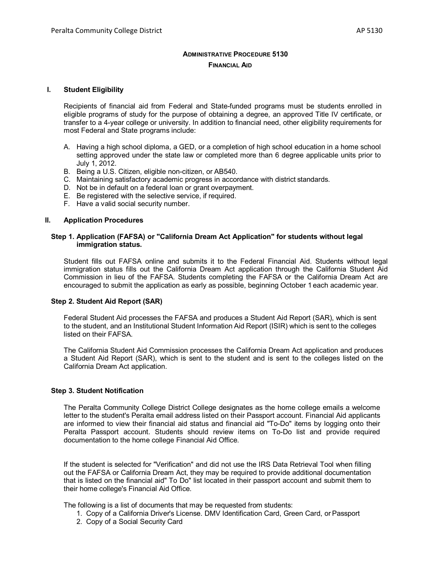# **ADMINISTRATIVE PROCEDURE 5130 FINANCIAL AID**

#### **I. Student Eligibility**

Recipients of financial aid from Federal and State-funded programs must be students enrolled in eligible programs of study for the purpose of obtaining a degree, an approved Title IV certificate, or transfer to a 4-year college or university. In addition to financial need, other eligibility requirements for most Federal and State programs include:

- A. Having a high school diploma, a GED, or a completion of high school education in a home school setting approved under the state law or completed more than 6 degree applicable units prior to July 1, 2012.
- B. Being a U.S. Citizen, eligible non-citizen, or AB540.
- C. Maintaining satisfactory academic progress in accordance with district standards.
- D. Not be in default on a federal loan or grant overpayment.
- E. Be registered with the selective service, if required.
- F. Have a valid social security number.

#### **II. Application Procedures**

#### **Step 1. Application (FAFSA) or "California Dream Act Application" for students without legal immigration status.**

Student fills out FAFSA online and submits it to the Federal Financial Aid. Students without legal immigration status fills out the California Dream Act application through the California Student Aid Commission in lieu of the FAFSA. Students completing the FAFSA or the California Dream Act are encouraged to submit the application as early as possible, beginning October 1 each academic year.

### **Step 2. Student Aid Report (SAR)**

Federal Student Aid processes the FAFSA and produces a Student Aid Report (SAR), which is sent to the student, and an Institutional Student Information Aid Report (ISIR) which is sent to the colleges listed on their FAFSA.

The California Student Aid Commission processes the California Dream Act application and produces a Student Aid Report (SAR), which is sent to the student and is sent to the colleges listed on the California Dream Act application.

# **Step 3. Student Notification**

The Peralta Community College District College designates as the home college emails a welcome letter to the student's Peralta email address listed on their Passport account. Financial Aid applicants are informed to view their financial aid status and financial aid "To-Do" items by logging onto their Peralta Passport account. Students should review items on To-Do list and provide required documentation to the home college Financial Aid Office.

If the student is selected for "Verification" and did not use the IRS Data Retrieval Tool when filling out the FAFSA or California Dream Act, they may be required to provide additional documentation that is listed on the financial aid" To Do" list located in their passport account and submit them to their home college's Financial Aid Office.

The following is a list of documents that may be requested from students:

- 1. Copy of a California Driver's License. DMV Identification Card, Green Card, or Passport
- 2. Copy of a Social Security Card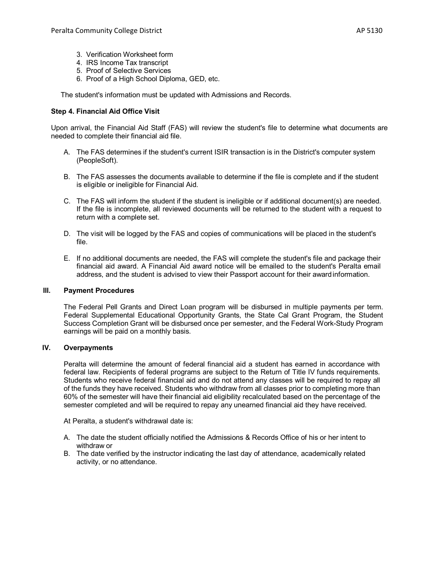- 3. Verification Worksheet form
- 4. IRS Income Tax transcript
- 5. Proof of Selective Services
- 6. Proof of a High School Diploma, GED, etc.

The student's information must be updated with Admissions and Records.

# **Step 4. Financial Aid Office Visit**

Upon arrival, the Financial Aid Staff (FAS) will review the student's file to determine what documents are needed to complete their financial aid file.

- A. The FAS determines if the student's current ISIR transaction is in the District's computer system (PeopleSoft).
- B. The FAS assesses the documents available to determine if the file is complete and if the student is eligible or ineligible for Financial Aid.
- C. The FAS will inform the student if the student is ineligible or if additional document(s) are needed. If the file is incomplete, all reviewed documents will be returned to the student with a request to return with a complete set.
- D. The visit will be logged by the FAS and copies of communications will be placed in the student's file.
- E. If no additional documents are needed, the FAS will complete the student's file and package their financial aid award. A Financial Aid award notice will be emailed to the student's Peralta email address, and the student is advised to view their Passport account for their awardinformation.

### **III. Payment Procedures**

The Federal Pell Grants and Direct Loan program will be disbursed in multiple payments per term. Federal Supplemental Educational Opportunity Grants, the State Cal Grant Program, the Student Success Completion Grant will be disbursed once per semester, and the Federal Work-Study Program earnings will be paid on a monthly basis.

# **IV. Overpayments**

Peralta will determine the amount of federal financial aid a student has earned in accordance with federal law. Recipients of federal programs are subject to the Return of Title IV funds requirements. Students who receive federal financial aid and do not attend any classes will be required to repay all of the funds they have received. Students who withdraw from all classes prior to completing more than 60% of the semester will have their financial aid eligibility recalculated based on the percentage of the semester completed and will be required to repay any unearned financial aid they have received.

At Peralta, a student's withdrawal date is:

- A. The date the student officially notified the Admissions & Records Office of his or her intent to withdraw or
- B. The date verified by the instructor indicating the last day of attendance, academically related activity, or no attendance.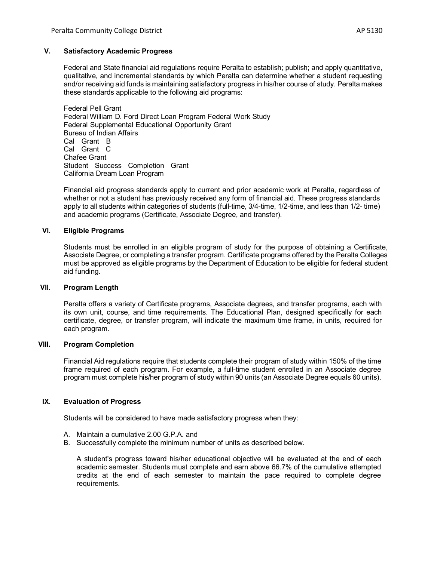### **V. Satisfactory Academic Progress**

Federal and State financial aid regulations require Peralta to establish; publish; and apply quantitative, qualitative, and incremental standards by which Peralta can determine whether a student requesting and/or receiving aid funds is maintaining satisfactory progress in his/her course of study. Peralta makes these standards applicable to the following aid programs:

Federal Pell Grant Federal William D. Ford Direct Loan Program Federal Work Study Federal Supplemental Educational Opportunity Grant Bureau of Indian Affairs Cal Grant B Cal Grant C Chafee Grant Student Success Completion Grant California Dream Loan Program

Financial aid progress standards apply to current and prior academic work at Peralta, regardless of whether or not a student has previously received any form of financial aid. These progress standards apply to all students within categories of students (full-time, 3/4-time, 1/2-time, and less than 1/2- time) and academic programs (Certificate, Associate Degree, and transfer).

### **VI. Eligible Programs**

Students must be enrolled in an eligible program of study for the purpose of obtaining a Certificate, Associate Degree, or completing a transfer program. Certificate programs offered by the Peralta Colleges must be approved as eligible programs by the Department of Education to be eligible for federal student aid funding.

#### **VII. Program Length**

Peralta offers a variety of Certificate programs, Associate degrees, and transfer programs, each with its own unit, course, and time requirements. The Educational Plan, designed specifically for each certificate, degree, or transfer program, will indicate the maximum time frame, in units, required for each program.

### **VIII. Program Completion**

Financial Aid regulations require that students complete their program of study within 150% of the time frame required of each program. For example, a full-time student enrolled in an Associate degree program must complete his/her program of study within 90 units (an Associate Degree equals 60 units).

# **IX. Evaluation of Progress**

Students will be considered to have made satisfactory progress when they:

- A. Maintain a cumulative 2.00 G.P.A. and
- B. Successfully complete the minimum number of units as described below.

A student's progress toward his/her educational objective will be evaluated at the end of each academic semester. Students must complete and earn above 66.7% of the cumulative attempted credits at the end of each semester to maintain the pace required to complete degree requirements.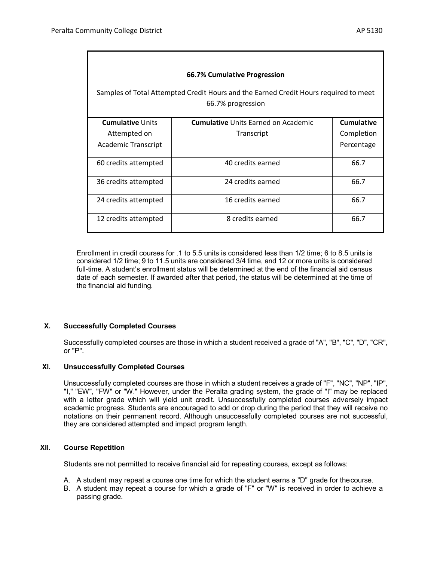| 66.7% Cumulative Progression<br>Samples of Total Attempted Credit Hours and the Earned Credit Hours required to meet<br>66.7% progression |                                            |                   |
|-------------------------------------------------------------------------------------------------------------------------------------------|--------------------------------------------|-------------------|
| <b>Cumulative Units</b>                                                                                                                   | <b>Cumulative Units Earned on Academic</b> | <b>Cumulative</b> |
| Attempted on                                                                                                                              | Transcript                                 | Completion        |
| Academic Transcript                                                                                                                       |                                            | Percentage        |
| 60 credits attempted                                                                                                                      | 40 credits earned                          | 66.7              |
| 36 credits attempted                                                                                                                      | 24 credits earned                          | 66.7              |
| 24 credits attempted                                                                                                                      | 16 credits earned                          | 66.7              |
| 12 credits attempted                                                                                                                      | 8 credits earned                           | 66.7              |

Enrollment in credit courses for .1 to 5.5 units is considered less than 1/2 time; 6 to 8.5 units is considered 1/2 time; 9 to 11.5 units are considered 3/4 time, and 12 or more units is considered full-time. A student's enrollment status will be determined at the end of the financial aid census date of each semester. If awarded after that period, the status will be determined at the time of the financial aid funding.

## **X. Successfully Completed Courses**

Successfully completed courses are those in which a student received a grade of "A", "B", "C", "D", "CR", or "P".

### **XI. Unsuccessfully Completed Courses**

Unsuccessfully completed courses are those in which a student receives a grade of "F", "NC", "NP", "IP", "I," "EW", "FW" or "W." However, under the Peralta grading system, the grade of "I" may be replaced with a letter grade which will yield unit credit. Unsuccessfully completed courses adversely impact academic progress. Students are encouraged to add or drop during the period that they will receive no notations on their permanent record. Although unsuccessfully completed courses are not successful, they are considered attempted and impact program length.

#### **XII. Course Repetition**

Students are not permitted to receive financial aid for repeating courses, except as follows:

- A. A student may repeat a course one time for which the student earns a "D" grade for thecourse.
- B. A student may repeat a course for which a grade of "F" or "W" is received in order to achieve a passing grade.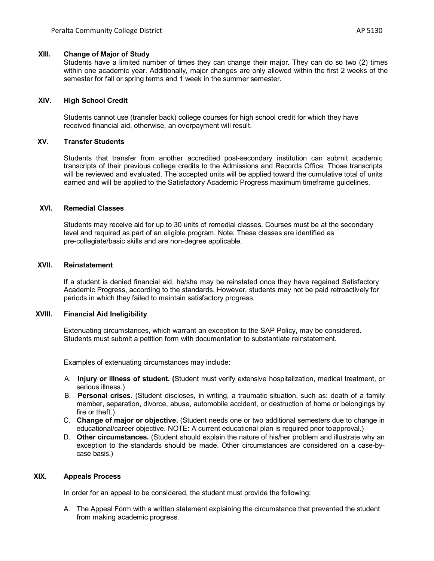#### **XIII. Change of Major of Study**

Students have a limited number of times they can change their major. They can do so two (2) times within one academic year. Additionally, major changes are only allowed within the first 2 weeks of the semester for fall or spring terms and 1 week in the summer semester.

### **XIV. High School Credit**

Students cannot use (transfer back) college courses for high school credit for which they have received financial aid, otherwise, an overpayment will result.

## **XV. Transfer Students**

Students that transfer from another accredited post-secondary institution can submit academic transcripts of their previous college credits to the Admissions and Records Office. Those transcripts will be reviewed and evaluated. The accepted units will be applied toward the cumulative total of units earned and will be applied to the Satisfactory Academic Progress maximum timeframe guidelines.

### **XVI. Remedial Classes**

Students may receive aid for up to 30 units of remedial classes. Courses must be at the secondary level and required as part of an eligible program. Note: These classes are identified as pre-collegiate/basic skills and are non-degree applicable.

### **XVII. Reinstatement**

If a student is denied financial aid, he/she may be reinstated once they have regained Satisfactory Academic Progress, according to the standards. However, students may not be paid retroactively for periods in which they failed to maintain satisfactory progress.

### **XVIII. Financial Aid Ineligibility**

Extenuating circumstances, which warrant an exception to the SAP Policy, may be considered. Students must submit a petition form with documentation to substantiate reinstatement.

Examples of extenuating circumstances may include:

- A. **Injury or illness of student. (**Student must verify extensive hospitalization, medical treatment, or serious illness.)
- B. **Personal crises.** (Student discloses, in writing, a traumatic situation, such as: death of a family member, separation, divorce, abuse, automobile accident, or destruction of home or belongings by fire or theft.)
- C. **Change of major or objective.** (Student needs one or two additional semesters due to change in educational/career objective. NOTE: A current educational plan is required prior toapproval.)
- D. **Other circumstances.** (Student should explain the nature of his/her problem and illustrate why an exception to the standards should be made. Other circumstances are considered on a case-bycase basis.)

# **XIX. Appeals Process**

In order for an appeal to be considered, the student must provide the following:

A. The Appeal Form with a written statement explaining the circumstance that prevented the student from making academic progress.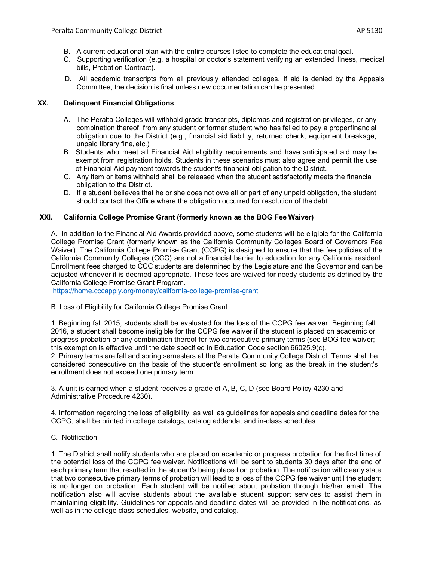- B. A current educational plan with the entire courses listed to complete the educational goal.
- C. Supporting verification (e.g. a hospital or doctor's statement verifying an extended illness, medical bills, Probation Contract).
- D. All academic transcripts from all previously attended colleges. If aid is denied by the Appeals Committee, the decision is final unless new documentation can be presented.

# **XX. Delinquent Financial Obligations**

- A. The Peralta Colleges will withhold grade transcripts, diplomas and registration privileges, or any combination thereof, from any student or former student who has failed to pay a properfinancial obligation due to the District (e.g., financial aid liability, returned check, equipment breakage, unpaid library fine, etc.)
- B. Students who meet all Financial Aid eligibility requirements and have anticipated aid may be exempt from registration holds. Students in these scenarios must also agree and permit the use of Financial Aid payment towards the student's financial obligation to the District.
- C. Any item or items withheld shall be released when the student satisfactorily meets the financial obligation to the District.
- D. If a student believes that he or she does not owe all or part of any unpaid obligation, the student should contact the Office where the obligation occurred for resolution of the debt.

## **XXI. California College Promise Grant (formerly known as the BOG Fee Waiver)**

A. In addition to the Financial Aid Awards provided above, some students will be eligible for the California College Promise Grant (formerly known as the California Community Colleges Board of Governors Fee Waiver). The California College Promise Grant (CCPG) is designed to ensure that the fee policies of the California Community Colleges (CCC) are not a financial barrier to education for any California resident. Enrollment fees charged to CCC students are determined by the Legislature and the Governor and can be adjusted whenever it is deemed appropriate. These fees are waived for needy students as defined by the California College Promise Grant Program.

[https://home.cccapply.org/money/california-college-promise-grant](about:blank)

B. Loss of Eligibility for California College Promise Grant

1. Beginning fall 2015, students shall be evaluated for the loss of the CCPG fee waiver. Beginning fall 2016, a student shall become ineligible for the CCPG fee waiver if the student is placed on academic or progress probation or any combination thereof for two consecutive primary terms (see BOG fee waiver; this exemption is effective until the date specified in Education Code section 66025.9(c).

2. Primary terms are fall and spring semesters at the Peralta Community College District. Terms shall be considered consecutive on the basis of the student's enrollment so long as the break in the student's enrollment does not exceed one primary term.

3. A unit is earned when a student receives a grade of A, B, C, D (see Board Policy 4230 and Administrative Procedure 4230).

4. Information regarding the loss of eligibility, as well as guidelines for appeals and deadline dates for the CCPG, shall be printed in college catalogs, catalog addenda, and in-class schedules.

### C. Notification

1. The District shall notify students who are placed on academic or progress probation for the first time of the potential loss of the CCPG fee waiver. Notifications will be sent to students 30 days after the end of each primary term that resulted in the student's being placed on probation. The notification will clearly state that two consecutive primary terms of probation will lead to a loss of the CCPG fee waiver until the student is no longer on probation. Each student will be notified about probation through his/her email. The notification also will advise students about the available student support services to assist them in maintaining eligibility. Guidelines for appeals and deadline dates will be provided in the notifications, as well as in the college class schedules, website, and catalog.